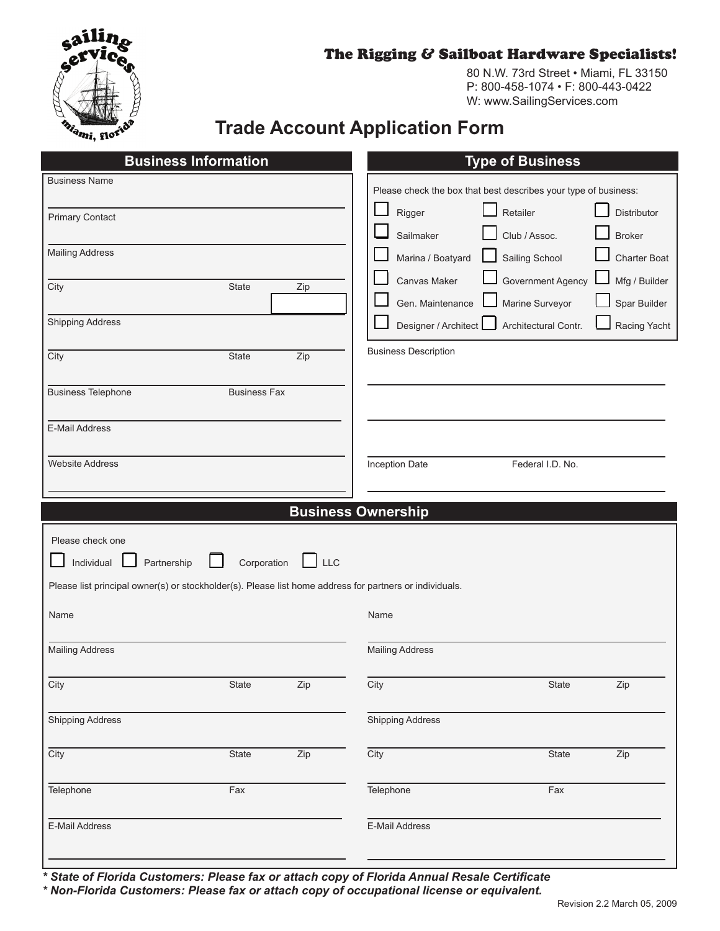



80 N.W. 73rd Street • Miami, FL 33150 P: 800-458-1074 • F: 800-443-0422 W: www.SailingServices.com

## **Trade Account Application Form**

| <b>Business Information</b>                                                                             | <b>Type of Business</b>                                         |  |  |
|---------------------------------------------------------------------------------------------------------|-----------------------------------------------------------------|--|--|
| <b>Business Name</b>                                                                                    | Please check the box that best describes your type of business: |  |  |
|                                                                                                         | Retailer<br>Distributor<br>Rigger                               |  |  |
| <b>Primary Contact</b>                                                                                  | Sailmaker<br>Club / Assoc.<br><b>Broker</b>                     |  |  |
| <b>Mailing Address</b>                                                                                  | Sailing School<br>Marina / Boatyard<br><b>Charter Boat</b>      |  |  |
|                                                                                                         | Canvas Maker<br>Government Agency<br>Mfg / Builder              |  |  |
| City<br>State<br>Zip                                                                                    | Gen. Maintenance<br>Marine Surveyor<br>Spar Builder             |  |  |
| <b>Shipping Address</b>                                                                                 | Designer / Architect  <br>Architectural Contr.<br>Racing Yacht  |  |  |
|                                                                                                         |                                                                 |  |  |
| City<br>State<br>Zip                                                                                    | <b>Business Description</b>                                     |  |  |
|                                                                                                         |                                                                 |  |  |
| <b>Business Telephone</b><br><b>Business Fax</b>                                                        |                                                                 |  |  |
| E-Mail Address                                                                                          |                                                                 |  |  |
|                                                                                                         |                                                                 |  |  |
| <b>Website Address</b>                                                                                  | Inception Date<br>Federal I.D. No.                              |  |  |
|                                                                                                         |                                                                 |  |  |
|                                                                                                         | <b>Business Ownership</b>                                       |  |  |
| Please check one                                                                                        |                                                                 |  |  |
| LLC<br>Individual L<br>Partnership<br>Corporation                                                       |                                                                 |  |  |
| Please list principal owner(s) or stockholder(s). Please list home address for partners or individuals. |                                                                 |  |  |
|                                                                                                         |                                                                 |  |  |
| Name                                                                                                    | Name                                                            |  |  |
| <b>Mailing Address</b>                                                                                  | <b>Mailing Address</b>                                          |  |  |
|                                                                                                         |                                                                 |  |  |
| City<br>Zip<br>State                                                                                    | State<br>City<br>Zip                                            |  |  |
| <b>Shipping Address</b>                                                                                 | <b>Shipping Address</b>                                         |  |  |
|                                                                                                         |                                                                 |  |  |
| City<br>$\overline{Zip}$<br>State                                                                       | City<br>$\overline{Zip}$<br><b>State</b>                        |  |  |
|                                                                                                         |                                                                 |  |  |
| Fax<br>Telephone                                                                                        | Telephone<br>Fax                                                |  |  |
|                                                                                                         |                                                                 |  |  |
| E-Mail Address                                                                                          | E-Mail Address                                                  |  |  |
|                                                                                                         |                                                                 |  |  |

*\* State of Florida Customers: Please fax or attach copy of Florida Annual Resale Certificate*

*\* Non-Florida Customers: Please fax or attach copy of occupational license or equivalent.*